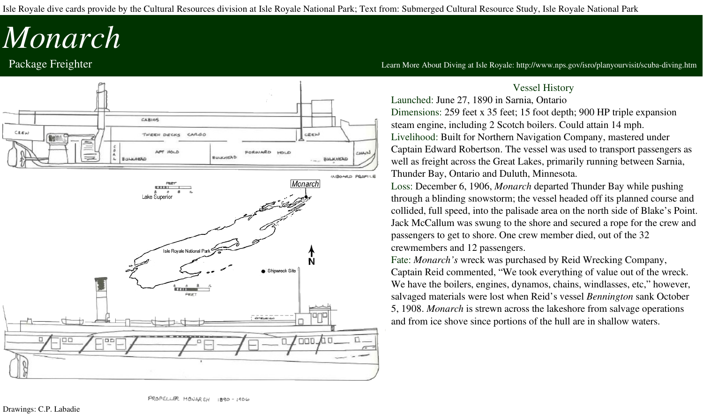Isle Royale dive cards provide by the Cultural Resources division at Isle Royale National Park; Text from: Submerged Cultural Resource Study, Isle Royale National Park

# *Monarch*



Package Freighter **The Community of the Community of the Community** Learn More About Diving at Isle Royale: http://www.nps.gov/isro/planyourvisit/scuba-diving.htm

### Vessel History

Launched: June 27, 1890 in Sarnia, Ontario Dimensions: 259 feet x 35 feet; 15 foot depth; 900 HP triple expansion steam engine, including 2 Scotch boilers. Could attain 14 mph. Livelihood: Built for Northern Navigation Company, mastered under Captain Edward Robertson. The vessel was used to transport passengers as well as freight across the Great Lakes, primarily running between Sarnia, Thunder Bay, Ontario and Duluth, Minnesota.

Loss: December 6, 1906, *Monarch* departed Thunder Bay while pushing through a blinding snowstorm; the vessel headed off its planned course and collided, full speed, into the palisade area on the north side of Blake's Point. Jack McCallum was swung to the shore and secured a rope for the crew and passengers to get to shore. One crew member died, out of the 32 crewmembers and 12 passengers.

Fate: *Monarch's* wreck was purchased by Reid Wrecking Company,

Captain Reid commented, "We took everything of value out of the wreck. We have the boilers, engines, dynamos, chains, windlasses, etc," however, salvaged materials were lost when Reid's vessel *Bennington* sank October 5, 1908. *Monarch* is strewn across the lakeshore from salvage operations and from ice shove since portions of the hull are in shallow waters.